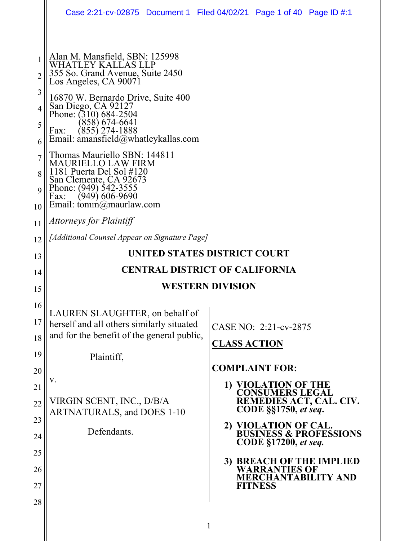|          | Case 2:21-cv-02875 Document 1 Filed 04/02/21 Page 1 of 40 Page ID #:1 |                     |                                              |                                                |  |
|----------|-----------------------------------------------------------------------|---------------------|----------------------------------------------|------------------------------------------------|--|
|          |                                                                       |                     |                                              |                                                |  |
| 1        | Alan M. Mansfield, SBN: 125998<br>WHATLEY KALLAS LLP                  |                     |                                              |                                                |  |
| 2        | 355 So. Grand Avenue, Suite 2450<br>Los Angeles, CA 90071             |                     |                                              |                                                |  |
| 3<br>4   | 16870 W. Bernardo Drive, Suite 400<br>San Diego, CA 92127             |                     |                                              |                                                |  |
| 5        | Phone: (310) 684-2504<br>(858) 674-6641                               |                     |                                              |                                                |  |
| 6        | $(855)$ 274-1888<br>Fax:<br>Email: amansfield@whatleykallas.com       |                     |                                              |                                                |  |
| 7        | Thomas Mauriello SBN: 144811<br>MAURIELLO LAW FIRM                    |                     |                                              |                                                |  |
| 8        | 1181 Puerta Del Sol #120<br>San Clemente, CA 92673                    |                     |                                              |                                                |  |
| 9        | Phone: (949) 542-3555<br>$(949)$ 606-9690<br>Fax:                     |                     |                                              |                                                |  |
| 10       | Email: $\text{tomm}(\hat{\omega})$ maurlaw.com                        |                     |                                              |                                                |  |
| 11       | Attorneys for Plaintiff                                               |                     |                                              |                                                |  |
| 12       | [Additional Counsel Appear on Signature Page]                         |                     |                                              |                                                |  |
| 13       | UNITED STATES DISTRICT COURT                                          |                     |                                              |                                                |  |
| 14       | <b>CENTRAL DISTRICT OF CALIFORNIA</b>                                 |                     |                                              |                                                |  |
|          | <b>WESTERN DIVISION</b>                                               |                     |                                              |                                                |  |
| 15       |                                                                       |                     |                                              |                                                |  |
| 16       | LAUREN SLAUGHTER, on behalf of                                        |                     |                                              |                                                |  |
| 17       | herself and all others similarly situated                             |                     | CASE NO: 2:21-cv-2875                        |                                                |  |
| 18       | and for the benefit of the general public,                            | <b>CLASS ACTION</b> |                                              |                                                |  |
| 19       | Plaintiff,                                                            |                     |                                              |                                                |  |
| 20       | V.                                                                    |                     | <b>COMPLAINT FOR:</b>                        |                                                |  |
| 21       | VIRGIN SCENT, INC., D/B/A                                             |                     | 1) VIOLATION OF THE CONSUMERS LEGAL          | REMEDIES ACT, CAL. CIV.                        |  |
| 22       | <b>ARTNATURALS, and DOES 1-10</b>                                     |                     | <b>CODE</b> §§1750, et seq.                  |                                                |  |
| 23<br>24 | Defendants.                                                           |                     | CODE §17200, et seq.                         | 2) VIOLATION OF CAL.<br>BUSINESS & PROFESSIONS |  |
| 25       |                                                                       |                     |                                              |                                                |  |
| 26       |                                                                       |                     | <b>WARRANTIES OF</b>                         | 3) BREACH OF THE IMPLIED                       |  |
| 27<br>28 |                                                                       |                     | <b>MERCHANTABILITY AND</b><br><b>FITNESS</b> |                                                |  |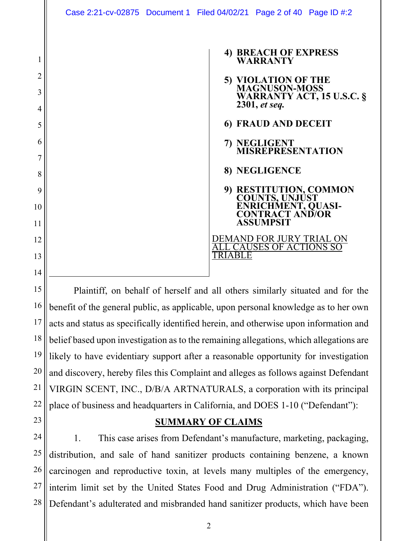| 4) BREACH OF EXPRESS<br><b>WARRANTY</b>                                                                       |
|---------------------------------------------------------------------------------------------------------------|
| 5) VIOLATION OF THE<br>MAGNUSON-MOSS<br><b>WARRANTY ACT, 15 U.S.C. §</b><br>2301, et seq.                     |
| 6) FRAUD AND DECEIT                                                                                           |
| 7) NEGLIGENT<br><b>MISREPRESENTATION</b>                                                                      |
| 8) NEGLIGENCE                                                                                                 |
| 9) RESTITUTION, COMMON<br>COUNTS, UNJUST<br><b>ENRICHMENT, QUASI-<br/>CONTRACT AND/OR</b><br><b>ASSUMPSIT</b> |
| DEMAND FOR JURY TRIAL ON<br>CAUSES OF ACTIONS SO                                                              |
|                                                                                                               |

Plaintiff, on behalf of herself and all others similarly situated and for the benefit of the general public, as applicable, upon personal knowledge as to her own acts and status as specifically identified herein, and otherwise upon information and belief based upon investigation as to the remaining allegations, which allegations are likely to have evidentiary support after a reasonable opportunity for investigation and discovery, hereby files this Complaint and alleges as follows against Defendant VIRGIN SCENT, INC., D/B/A ARTNATURALS, a corporation with its principal place of business and headquarters in California, and DOES 1-10 ("Defendant"):

#### **SUMMARY OF CLAIMS**

1. This case arises from Defendant's manufacture, marketing, packaging, distribution, and sale of hand sanitizer products containing benzene, a known carcinogen and reproductive toxin, at levels many multiples of the emergency, interim limit set by the United States Food and Drug Administration ("FDA"). Defendant's adulterated and misbranded hand sanitizer products, which have been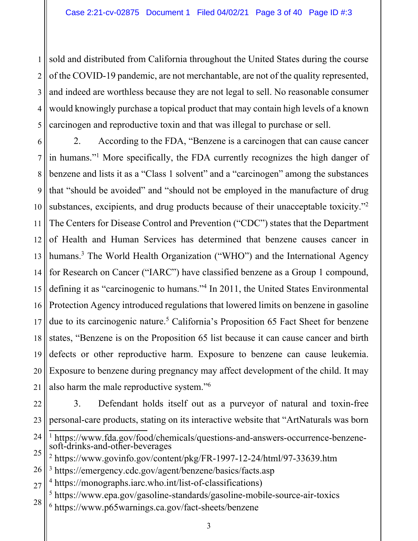1 2 3 4 5 sold and distributed from California throughout the United States during the course of the COVID-19 pandemic, are not merchantable, are not of the quality represented, and indeed are worthless because they are not legal to sell. No reasonable consumer would knowingly purchase a topical product that may contain high levels of a known carcinogen and reproductive toxin and that was illegal to purchase or sell.

6 7 8 9 10 11 12 13 14 15 16 17 18 19 20 21 2. According to the FDA, "Benzene is a carcinogen that can cause cancer in humans."1 More specifically, the FDA currently recognizes the high danger of benzene and lists it as a "Class 1 solvent" and a "carcinogen" among the substances that "should be avoided" and "should not be employed in the manufacture of drug substances, excipients, and drug products because of their unacceptable toxicity."<sup>2</sup> The Centers for Disease Control and Prevention ("CDC") states that the Department of Health and Human Services has determined that benzene causes cancer in humans.<sup>3</sup> The World Health Organization ("WHO") and the International Agency for Research on Cancer ("IARC") have classified benzene as a Group 1 compound, defining it as "carcinogenic to humans."4 In 2011, the United States Environmental Protection Agency introduced regulations that lowered limits on benzene in gasoline due to its carcinogenic nature.<sup>5</sup> California's Proposition 65 Fact Sheet for benzene states, "Benzene is on the Proposition 65 list because it can cause cancer and birth defects or other reproductive harm. Exposure to benzene can cause leukemia. Exposure to benzene during pregnancy may affect development of the child. It may also harm the male reproductive system."6

22 23

3. Defendant holds itself out as a purveyor of natural and toxin-free personal-care products, stating on its interactive website that "ArtNaturals was born

- 24 1 https://www.fda.gov/food/chemicals/questions-and-answers-occurrence-benzenesoft-drinks-and-other-beverages
- 25 <sup>2</sup> https://www.govinfo.gov/content/pkg/FR-1997-12-24/html/97-33639.htm
- 26 3 https://emergency.cdc.gov/agent/benzene/basics/facts.asp
- 27 4 https://monographs.iarc.who.int/list-of-classifications)
- 28 <sup>5</sup> https://www.epa.gov/gasoline-standards/gasoline-mobile-source-air-toxics 6 https://www.p65warnings.ca.gov/fact-sheets/benzene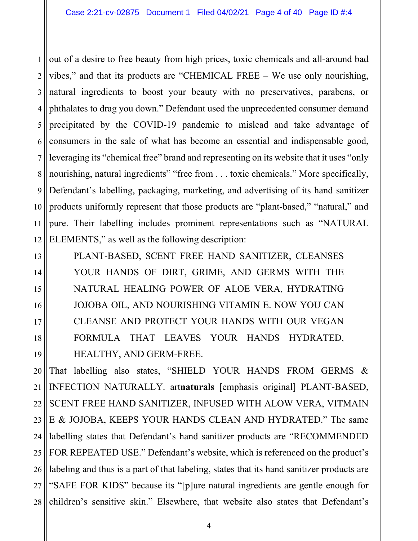1 2 3 4 5 6 7 8 9 10 11 12 out of a desire to free beauty from high prices, toxic chemicals and all-around bad vibes," and that its products are "CHEMICAL FREE – We use only nourishing, natural ingredients to boost your beauty with no preservatives, parabens, or phthalates to drag you down." Defendant used the unprecedented consumer demand precipitated by the COVID-19 pandemic to mislead and take advantage of consumers in the sale of what has become an essential and indispensable good, leveraging its "chemical free" brand and representing on its website that it uses "only nourishing, natural ingredients" "free from . . . toxic chemicals." More specifically, Defendant's labelling, packaging, marketing, and advertising of its hand sanitizer products uniformly represent that those products are "plant-based," "natural," and pure. Their labelling includes prominent representations such as "NATURAL ELEMENTS," as well as the following description:

13 14 15 16 17 18 19 PLANT-BASED, SCENT FREE HAND SANITIZER, CLEANSES YOUR HANDS OF DIRT, GRIME, AND GERMS WITH THE NATURAL HEALING POWER OF ALOE VERA, HYDRATING JOJOBA OIL, AND NOURISHING VITAMIN E. NOW YOU CAN CLEANSE AND PROTECT YOUR HANDS WITH OUR VEGAN FORMULA THAT LEAVES YOUR HANDS HYDRATED, HEALTHY, AND GERM-FREE.

20 21 22 23 24 25 26 27 28 That labelling also states, "SHIELD YOUR HANDS FROM GERMS & INFECTION NATURALLY. art**naturals** [emphasis original] PLANT-BASED, SCENT FREE HAND SANITIZER, INFUSED WITH ALOW VERA, VITMAIN E & JOJOBA, KEEPS YOUR HANDS CLEAN AND HYDRATED." The same labelling states that Defendant's hand sanitizer products are "RECOMMENDED FOR REPEATED USE." Defendant's website, which is referenced on the product's labeling and thus is a part of that labeling, states that its hand sanitizer products are "SAFE FOR KIDS" because its "[p]ure natural ingredients are gentle enough for children's sensitive skin." Elsewhere, that website also states that Defendant's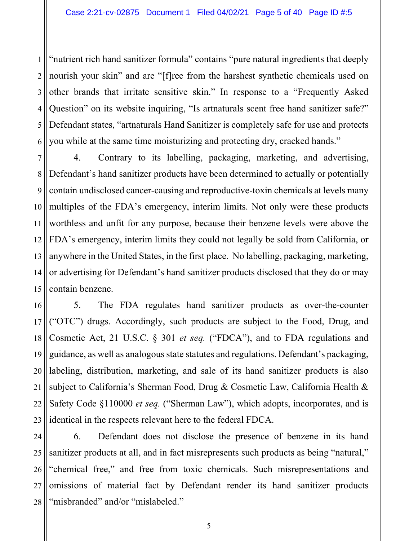1 2 3 4 5 6 "nutrient rich hand sanitizer formula" contains "pure natural ingredients that deeply nourish your skin" and are "[f]ree from the harshest synthetic chemicals used on other brands that irritate sensitive skin." In response to a "Frequently Asked Question" on its website inquiring, "Is artnaturals scent free hand sanitizer safe?" Defendant states, "artnaturals Hand Sanitizer is completely safe for use and protects you while at the same time moisturizing and protecting dry, cracked hands."

7 8 9 10 11 12 13 14 15 4. Contrary to its labelling, packaging, marketing, and advertising, Defendant's hand sanitizer products have been determined to actually or potentially contain undisclosed cancer-causing and reproductive-toxin chemicals at levels many multiples of the FDA's emergency, interim limits. Not only were these products worthless and unfit for any purpose, because their benzene levels were above the FDA's emergency, interim limits they could not legally be sold from California, or anywhere in the United States, in the first place. No labelling, packaging, marketing, or advertising for Defendant's hand sanitizer products disclosed that they do or may contain benzene.

16 17 18 19 20 21 22 23 5. The FDA regulates hand sanitizer products as over-the-counter ("OTC") drugs. Accordingly, such products are subject to the Food, Drug, and Cosmetic Act, 21 U.S.C. § 301 *et seq.* ("FDCA"), and to FDA regulations and guidance, as well as analogous state statutes and regulations. Defendant's packaging, labeling, distribution, marketing, and sale of its hand sanitizer products is also subject to California's Sherman Food, Drug & Cosmetic Law, California Health & Safety Code §110000 *et seq.* ("Sherman Law"), which adopts, incorporates, and is identical in the respects relevant here to the federal FDCA.

24 25 26 27 28 6. Defendant does not disclose the presence of benzene in its hand sanitizer products at all, and in fact misrepresents such products as being "natural," "chemical free," and free from toxic chemicals. Such misrepresentations and omissions of material fact by Defendant render its hand sanitizer products "misbranded" and/or "mislabeled."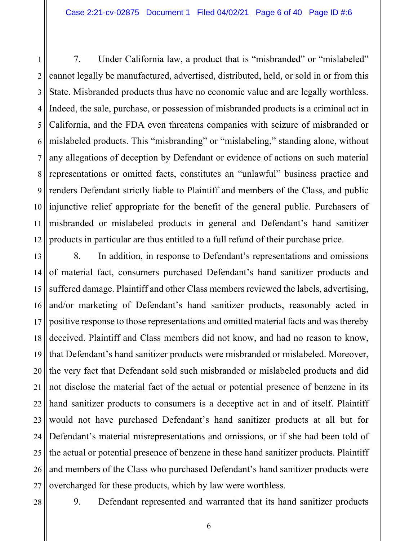1 2 3 4 5 6 7 8 9 10 11 12 7. Under California law, a product that is "misbranded" or "mislabeled" cannot legally be manufactured, advertised, distributed, held, or sold in or from this State. Misbranded products thus have no economic value and are legally worthless. Indeed, the sale, purchase, or possession of misbranded products is a criminal act in California, and the FDA even threatens companies with seizure of misbranded or mislabeled products. This "misbranding" or "mislabeling," standing alone, without any allegations of deception by Defendant or evidence of actions on such material representations or omitted facts, constitutes an "unlawful" business practice and renders Defendant strictly liable to Plaintiff and members of the Class, and public injunctive relief appropriate for the benefit of the general public. Purchasers of misbranded or mislabeled products in general and Defendant's hand sanitizer products in particular are thus entitled to a full refund of their purchase price.

13 14 15 16 17 18 19 20 21 22 23 24 25 26 27 8. In addition, in response to Defendant's representations and omissions of material fact, consumers purchased Defendant's hand sanitizer products and suffered damage. Plaintiff and other Class members reviewed the labels, advertising, and/or marketing of Defendant's hand sanitizer products, reasonably acted in positive response to those representations and omitted material facts and was thereby deceived. Plaintiff and Class members did not know, and had no reason to know, that Defendant's hand sanitizer products were misbranded or mislabeled. Moreover, the very fact that Defendant sold such misbranded or mislabeled products and did not disclose the material fact of the actual or potential presence of benzene in its hand sanitizer products to consumers is a deceptive act in and of itself. Plaintiff would not have purchased Defendant's hand sanitizer products at all but for Defendant's material misrepresentations and omissions, or if she had been told of the actual or potential presence of benzene in these hand sanitizer products. Plaintiff and members of the Class who purchased Defendant's hand sanitizer products were overcharged for these products, which by law were worthless.

9. Defendant represented and warranted that its hand sanitizer products

<sup>28</sup>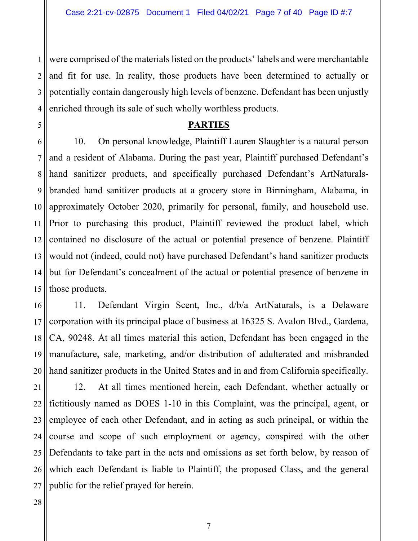1 2 3 4 were comprised of the materials listed on the products' labels and were merchantable and fit for use. In reality, those products have been determined to actually or potentially contain dangerously high levels of benzene. Defendant has been unjustly enriched through its sale of such wholly worthless products.

#### **PARTIES**

6 7 8 9 10 11 12 13 14 15 10. On personal knowledge, Plaintiff Lauren Slaughter is a natural person and a resident of Alabama. During the past year, Plaintiff purchased Defendant's hand sanitizer products, and specifically purchased Defendant's ArtNaturalsbranded hand sanitizer products at a grocery store in Birmingham, Alabama, in approximately October 2020, primarily for personal, family, and household use. Prior to purchasing this product, Plaintiff reviewed the product label, which contained no disclosure of the actual or potential presence of benzene. Plaintiff would not (indeed, could not) have purchased Defendant's hand sanitizer products but for Defendant's concealment of the actual or potential presence of benzene in those products.

16 17 18 19 20 11. Defendant Virgin Scent, Inc., d/b/a ArtNaturals, is a Delaware corporation with its principal place of business at 16325 S. Avalon Blvd., Gardena, CA, 90248. At all times material this action, Defendant has been engaged in the manufacture, sale, marketing, and/or distribution of adulterated and misbranded hand sanitizer products in the United States and in and from California specifically.

21 22 23 24 25 26 27 12. At all times mentioned herein, each Defendant, whether actually or fictitiously named as DOES 1-10 in this Complaint, was the principal, agent, or employee of each other Defendant, and in acting as such principal, or within the course and scope of such employment or agency, conspired with the other Defendants to take part in the acts and omissions as set forth below, by reason of which each Defendant is liable to Plaintiff, the proposed Class, and the general public for the relief prayed for herein.

28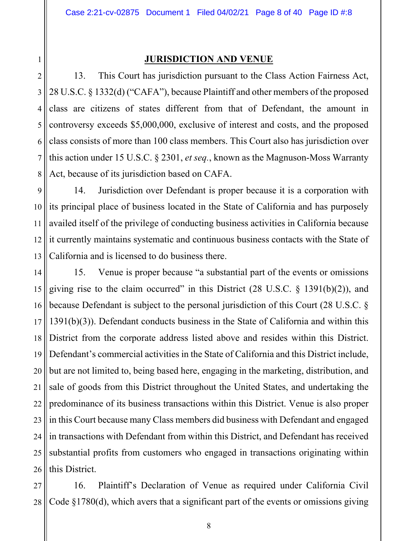1

#### **JURISDICTION AND VENUE**

2 3 4 5 6 7 8 13. This Court has jurisdiction pursuant to the Class Action Fairness Act, 28 U.S.C. § 1332(d) ("CAFA"), because Plaintiff and other members of the proposed class are citizens of states different from that of Defendant, the amount in controversy exceeds \$5,000,000, exclusive of interest and costs, and the proposed class consists of more than 100 class members. This Court also has jurisdiction over this action under 15 U.S.C. § 2301, *et seq.*, known as the Magnuson-Moss Warranty Act, because of its jurisdiction based on CAFA.

9 10 11 12 13 14. Jurisdiction over Defendant is proper because it is a corporation with its principal place of business located in the State of California and has purposely availed itself of the privilege of conducting business activities in California because it currently maintains systematic and continuous business contacts with the State of California and is licensed to do business there.

14 15 16 17 18 19 20 21 22 23 24 25 26 15. Venue is proper because "a substantial part of the events or omissions giving rise to the claim occurred" in this District  $(28 \text{ U.S.C. } § 1391(b)(2))$ , and because Defendant is subject to the personal jurisdiction of this Court (28 U.S.C. § 1391(b)(3)). Defendant conducts business in the State of California and within this District from the corporate address listed above and resides within this District. Defendant's commercial activities in the State of California and this District include, but are not limited to, being based here, engaging in the marketing, distribution, and sale of goods from this District throughout the United States, and undertaking the predominance of its business transactions within this District. Venue is also proper in this Court because many Class members did business with Defendant and engaged in transactions with Defendant from within this District, and Defendant has received substantial profits from customers who engaged in transactions originating within this District.

27 28 16. Plaintiff's Declaration of Venue as required under California Civil Code §1780(d), which avers that a significant part of the events or omissions giving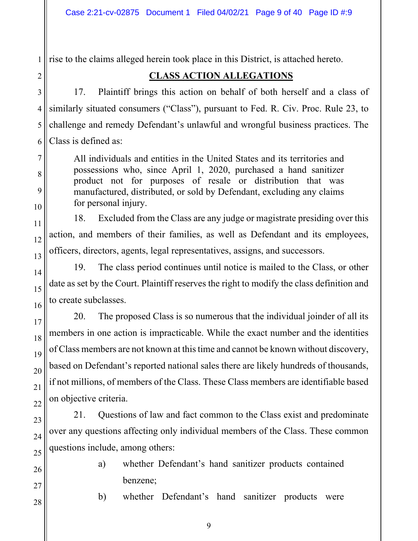1 rise to the claims alleged herein took place in this District, is attached hereto.

## **CLASS ACTION ALLEGATIONS**

17. Plaintiff brings this action on behalf of both herself and a class of similarly situated consumers ("Class"), pursuant to Fed. R. Civ. Proc. Rule 23, to challenge and remedy Defendant's unlawful and wrongful business practices. The Class is defined as:

All individuals and entities in the United States and its territories and possessions who, since April 1, 2020, purchased a hand sanitizer product not for purposes of resale or distribution that was manufactured, distributed, or sold by Defendant, excluding any claims for personal injury.

18. Excluded from the Class are any judge or magistrate presiding over this action, and members of their families, as well as Defendant and its employees, officers, directors, agents, legal representatives, assigns, and successors.

19. The class period continues until notice is mailed to the Class, or other date as set by the Court. Plaintiff reserves the right to modify the class definition and to create subclasses.

20. The proposed Class is so numerous that the individual joinder of all its members in one action is impracticable. While the exact number and the identities of Class members are not known at this time and cannot be known without discovery, based on Defendant's reported national sales there are likely hundreds of thousands, if not millions, of members of the Class. These Class members are identifiable based on objective criteria.

21. Questions of law and fact common to the Class exist and predominate over any questions affecting only individual members of the Class. These common questions include, among others:

> a) whether Defendant's hand sanitizer products contained benzene;

> b) whether Defendant's hand sanitizer products were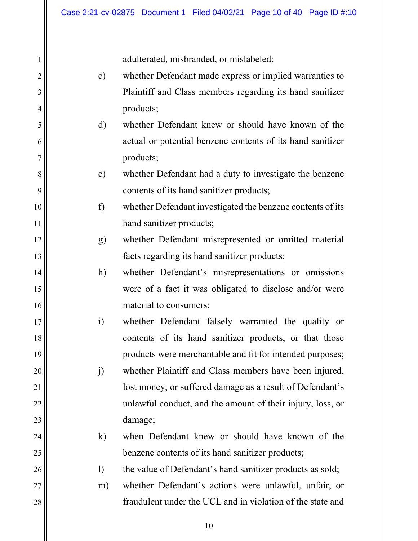adulterated, misbranded, or mislabeled;

1

2

3

4

5

6

7

8

9

10

11

12

13

14

15

16

17

18

19

20

21

22

23

24

25

26

27

| $\mathbf{c})$ | whether Defendant made express or implied warranties to    |
|---------------|------------------------------------------------------------|
|               | Plaintiff and Class members regarding its hand sanitizer   |
|               | products;                                                  |
| $\rm d)$      | whether Defendant knew or should have known of the         |
|               | actual or potential benzene contents of its hand sanitizer |
|               | products;                                                  |
| $\epsilon$ )  | whether Defendant had a duty to investigate the benzene    |
|               | contents of its hand sanitizer products;                   |
| f)            | whether Defendant investigated the benzene contents of its |
|               | hand sanitizer products;                                   |
| g)            | whether Defendant misrepresented or omitted material       |
|               | facts regarding its hand sanitizer products;               |
| h)            | whether Defendant's misrepresentations or omissions        |
|               | were of a fact it was obligated to disclose and/or were    |
|               | material to consumers;                                     |
| $\ddot{i}$    | whether Defendant falsely warranted the quality or         |
|               | contents of its hand sanitizer products, or that those     |
|               | products were merchantable and fit for intended purposes;  |
| j)            | whether Plaintiff and Class members have been injured,     |
|               | lost money, or suffered damage as a result of Defendant's  |
|               | unlawful conduct, and the amount of their injury, loss, or |
|               | damage;                                                    |
| $\bf k)$      | when Defendant knew or should have known of the            |
|               | benzene contents of its hand sanitizer products;           |
| $\mathbf{I}$  | the value of Defendant's hand sanitizer products as sold;  |
| m)            | whether Defendant's actions were unlawful, unfair, or      |
|               | fraudulent under the UCL and in violation of the state and |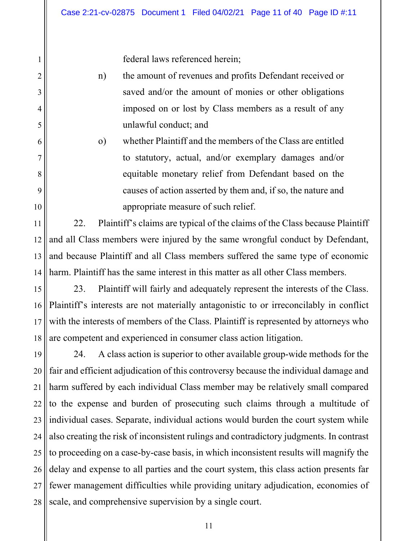federal laws referenced herein;

1

2

3

4

5

6

7

8

9

10

- n) the amount of revenues and profits Defendant received or saved and/or the amount of monies or other obligations imposed on or lost by Class members as a result of any unlawful conduct; and
- o) whether Plaintiff and the members of the Class are entitled to statutory, actual, and/or exemplary damages and/or equitable monetary relief from Defendant based on the causes of action asserted by them and, if so, the nature and appropriate measure of such relief.

11 12 13 14 22. Plaintiff's claims are typical of the claims of the Class because Plaintiff and all Class members were injured by the same wrongful conduct by Defendant, and because Plaintiff and all Class members suffered the same type of economic harm. Plaintiff has the same interest in this matter as all other Class members.

15 16 17 18 23. Plaintiff will fairly and adequately represent the interests of the Class. Plaintiff's interests are not materially antagonistic to or irreconcilably in conflict with the interests of members of the Class. Plaintiff is represented by attorneys who are competent and experienced in consumer class action litigation.

19 20 21 22 23 24 25 26 27 28 24. A class action is superior to other available group-wide methods for the fair and efficient adjudication of this controversy because the individual damage and harm suffered by each individual Class member may be relatively small compared to the expense and burden of prosecuting such claims through a multitude of individual cases. Separate, individual actions would burden the court system while also creating the risk of inconsistent rulings and contradictory judgments. In contrast to proceeding on a case-by-case basis, in which inconsistent results will magnify the delay and expense to all parties and the court system, this class action presents far fewer management difficulties while providing unitary adjudication, economies of scale, and comprehensive supervision by a single court.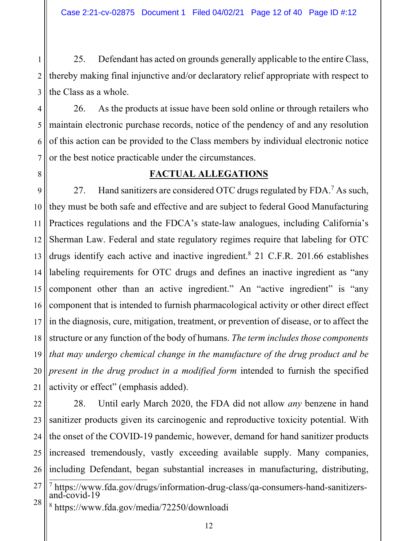1 2 3 25. Defendant has acted on grounds generally applicable to the entire Class, thereby making final injunctive and/or declaratory relief appropriate with respect to the Class as a whole.

4 5 6 7 26. As the products at issue have been sold online or through retailers who maintain electronic purchase records, notice of the pendency of and any resolution of this action can be provided to the Class members by individual electronic notice or the best notice practicable under the circumstances.

#### **FACTUAL ALLEGATIONS**

9 10 11 12 13 14 15 16 17 18 19 20 21 27. Hand sanitizers are considered OTC drugs regulated by FDA.<sup>7</sup> As such, they must be both safe and effective and are subject to federal Good Manufacturing Practices regulations and the FDCA's state-law analogues, including California's Sherman Law. Federal and state regulatory regimes require that labeling for OTC drugs identify each active and inactive ingredient.<sup>8</sup> 21 C.F.R. 201.66 establishes labeling requirements for OTC drugs and defines an inactive ingredient as "any component other than an active ingredient." An "active ingredient" is "any component that is intended to furnish pharmacological activity or other direct effect in the diagnosis, cure, mitigation, treatment, or prevention of disease, or to affect the structure or any function of the body of humans. *The term includes those components that may undergo chemical change in the manufacture of the drug product and be present in the drug product in a modified form* intended to furnish the specified activity or effect" (emphasis added).

22 23 24 25 26 28. Until early March 2020, the FDA did not allow *any* benzene in hand sanitizer products given its carcinogenic and reproductive toxicity potential. With the onset of the COVID-19 pandemic, however, demand for hand sanitizer products increased tremendously, vastly exceeding available supply. Many companies, including Defendant, began substantial increases in manufacturing, distributing,

8 https://www.fda.gov/media/72250/downloadi

<sup>27</sup> 28 7 https://www.fda.gov/drugs/information-drug-class/qa-consumers-hand-sanitizers- and-covid-19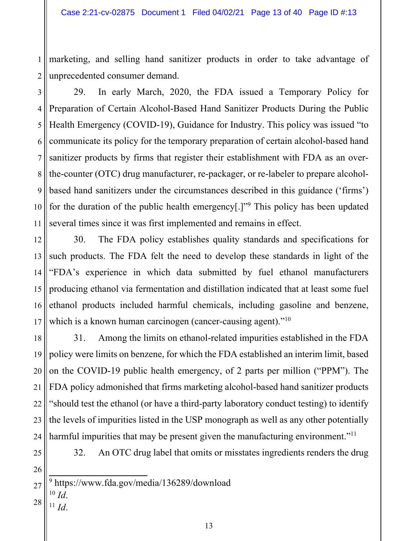1 2 marketing, and selling hand sanitizer products in order to take advantage of unprecedented consumer demand.

3 4 5 6 7 8 9 10 11 29. In early March, 2020, the FDA issued a Temporary Policy for Preparation of Certain Alcohol-Based Hand Sanitizer Products During the Public Health Emergency (COVID-19), Guidance for Industry. This policy was issued "to communicate its policy for the temporary preparation of certain alcohol-based hand sanitizer products by firms that register their establishment with FDA as an overthe-counter (OTC) drug manufacturer, re-packager, or re-labeler to prepare alcoholbased hand sanitizers under the circumstances described in this guidance ('firms') for the duration of the public health emergency[.]"<sup>9</sup> This policy has been updated several times since it was first implemented and remains in effect.

12 13 14 15 16 17 30. The FDA policy establishes quality standards and specifications for such products. The FDA felt the need to develop these standards in light of the "FDA's experience in which data submitted by fuel ethanol manufacturers producing ethanol via fermentation and distillation indicated that at least some fuel ethanol products included harmful chemicals, including gasoline and benzene, which is a known human carcinogen (cancer-causing agent)."<sup>10</sup>

18 19 20 21 22 23 24 31. Among the limits on ethanol-related impurities established in the FDA policy were limits on benzene, for which the FDA established an interim limit, based on the COVID-19 public health emergency, of 2 parts per million ("PPM"). The FDA policy admonished that firms marketing alcohol-based hand sanitizer products "should test the ethanol (or have a third-party laboratory conduct testing) to identify the levels of impurities listed in the USP monograph as well as any other potentially harmful impurities that may be present given the manufacturing environment."<sup>11</sup>

25 26

32. An OTC drug label that omits or misstates ingredients renders the drug

- 27 9 https://www.fda.gov/media/136289/download
- 28  $\frac{10}{11}$ *Id.* 
	-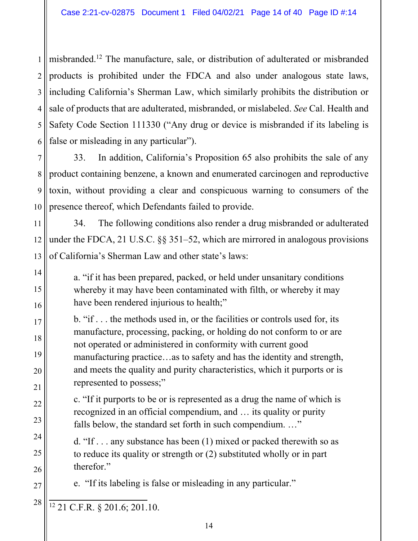1 2 3 4 5 6 misbranded.12 The manufacture, sale, or distribution of adulterated or misbranded products is prohibited under the FDCA and also under analogous state laws, including California's Sherman Law, which similarly prohibits the distribution or sale of products that are adulterated, misbranded, or mislabeled. *See* Cal. Health and Safety Code Section 111330 ("Any drug or device is misbranded if its labeling is false or misleading in any particular").

7 8 9 10 33. In addition, California's Proposition 65 also prohibits the sale of any product containing benzene, a known and enumerated carcinogen and reproductive toxin, without providing a clear and conspicuous warning to consumers of the presence thereof, which Defendants failed to provide.

11 12 13 34. The following conditions also render a drug misbranded or adulterated under the FDCA, 21 U.S.C. §§ 351–52, which are mirrored in analogous provisions of California's Sherman Law and other state's laws:

a. "if it has been prepared, packed, or held under unsanitary conditions whereby it may have been contaminated with filth, or whereby it may have been rendered injurious to health;"

b. "if . . . the methods used in, or the facilities or controls used for, its manufacture, processing, packing, or holding do not conform to or are not operated or administered in conformity with current good manufacturing practice…as to safety and has the identity and strength, and meets the quality and purity characteristics, which it purports or is represented to possess;"

c. "If it purports to be or is represented as a drug the name of which is recognized in an official compendium, and … its quality or purity falls below, the standard set forth in such compendium. ..."

d. "If . . . any substance has been (1) mixed or packed therewith so as to reduce its quality or strength or (2) substituted wholly or in part therefor."

e. "If its labeling is false or misleading in any particular."

12 21 C.F.R. § 201.6; 201.10.

14

15

16

17

18

19

20

21

22

23

24

25

26

27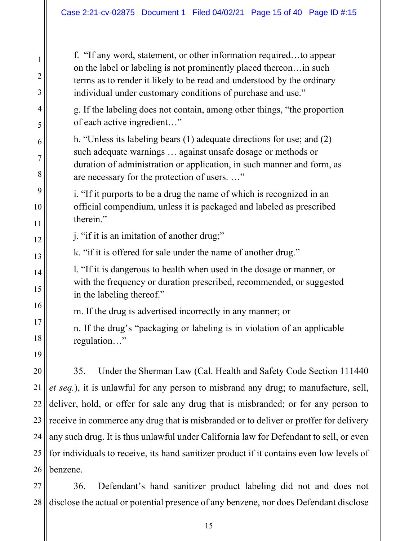f. "If any word, statement, or other information required…to appear on the label or labeling is not prominently placed thereon…in such terms as to render it likely to be read and understood by the ordinary individual under customary conditions of purchase and use."

g. If the labeling does not contain, among other things, "the proportion of each active ingredient…"

h. "Unless its labeling bears (1) adequate directions for use; and (2) such adequate warnings … against unsafe dosage or methods or duration of administration or application, in such manner and form, as are necessary for the protection of users. …"

i. "If it purports to be a drug the name of which is recognized in an official compendium, unless it is packaged and labeled as prescribed therein."

j. "if it is an imitation of another drug;"

k. "if it is offered for sale under the name of another drug."

l. "If it is dangerous to health when used in the dosage or manner, or with the frequency or duration prescribed, recommended, or suggested in the labeling thereof."

m. If the drug is advertised incorrectly in any manner; or

n. If the drug's "packaging or labeling is in violation of an applicable regulation…"

19

20

21

22

23

24

25

1

2

3

4

5

6

7

8

9

10

11

12

13

14

15

16

17

18

26 35. Under the Sherman Law (Cal. Health and Safety Code Section 111440 *et seq.*), it is unlawful for any person to misbrand any drug; to manufacture, sell, deliver, hold, or offer for sale any drug that is misbranded; or for any person to receive in commerce any drug that is misbranded or to deliver or proffer for delivery any such drug. It is thus unlawful under California law for Defendant to sell, or even for individuals to receive, its hand sanitizer product if it contains even low levels of benzene.

27 28 36. Defendant's hand sanitizer product labeling did not and does not disclose the actual or potential presence of any benzene, nor does Defendant disclose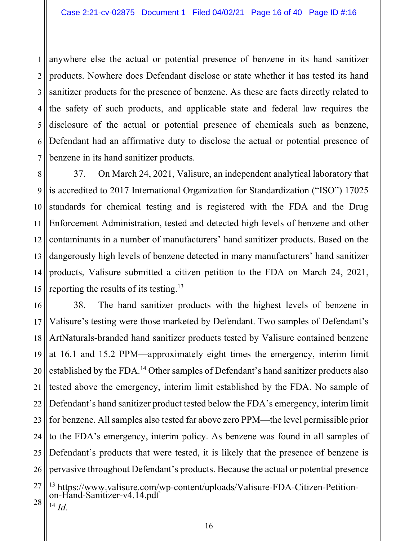1 2 3 4 5 6 7 anywhere else the actual or potential presence of benzene in its hand sanitizer products. Nowhere does Defendant disclose or state whether it has tested its hand sanitizer products for the presence of benzene. As these are facts directly related to the safety of such products, and applicable state and federal law requires the disclosure of the actual or potential presence of chemicals such as benzene, Defendant had an affirmative duty to disclose the actual or potential presence of benzene in its hand sanitizer products.

8 9 10 11 12 13 14 15 37. On March 24, 2021, Valisure, an independent analytical laboratory that is accredited to 2017 International Organization for Standardization ("ISO") 17025 standards for chemical testing and is registered with the FDA and the Drug Enforcement Administration, tested and detected high levels of benzene and other contaminants in a number of manufacturers' hand sanitizer products. Based on the dangerously high levels of benzene detected in many manufacturers' hand sanitizer products, Valisure submitted a citizen petition to the FDA on March 24, 2021, reporting the results of its testing.13

16 17 18 19 20 21 22 23 24 25 26 38. The hand sanitizer products with the highest levels of benzene in Valisure's testing were those marketed by Defendant. Two samples of Defendant's ArtNaturals-branded hand sanitizer products tested by Valisure contained benzene at 16.1 and 15.2 PPM—approximately eight times the emergency, interim limit established by the FDA.14 Other samples of Defendant's hand sanitizer products also tested above the emergency, interim limit established by the FDA. No sample of Defendant's hand sanitizer product tested below the FDA's emergency, interim limit for benzene. All samples also tested far above zero PPM—the level permissible prior to the FDA's emergency, interim policy. As benzene was found in all samples of Defendant's products that were tested, it is likely that the presence of benzene is pervasive throughout Defendant's products. Because the actual or potential presence

<sup>27</sup> 28

<sup>&</sup>lt;sup>13</sup> https://www.valisure.com/wp-content/uploads/Valisure-FDA-Citizen-Petition-<br>on-Hand-Sanitizer-v4.14.pdf <sup>14</sup> *Id*.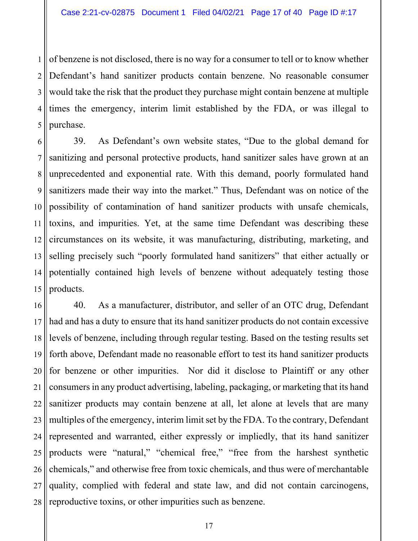1 2 3 4 5 of benzene is not disclosed, there is no way for a consumer to tell or to know whether Defendant's hand sanitizer products contain benzene. No reasonable consumer would take the risk that the product they purchase might contain benzene at multiple times the emergency, interim limit established by the FDA, or was illegal to purchase.

6 7 8 9 10 11 12 13 14 15 39. As Defendant's own website states, "Due to the global demand for sanitizing and personal protective products, hand sanitizer sales have grown at an unprecedented and exponential rate. With this demand, poorly formulated hand sanitizers made their way into the market." Thus, Defendant was on notice of the possibility of contamination of hand sanitizer products with unsafe chemicals, toxins, and impurities. Yet, at the same time Defendant was describing these circumstances on its website, it was manufacturing, distributing, marketing, and selling precisely such "poorly formulated hand sanitizers" that either actually or potentially contained high levels of benzene without adequately testing those products.

16 17 18 19 20 21 22 23 24 25 26 27 28 40. As a manufacturer, distributor, and seller of an OTC drug, Defendant had and has a duty to ensure that its hand sanitizer products do not contain excessive levels of benzene, including through regular testing. Based on the testing results set forth above, Defendant made no reasonable effort to test its hand sanitizer products for benzene or other impurities. Nor did it disclose to Plaintiff or any other consumers in any product advertising, labeling, packaging, or marketing that its hand sanitizer products may contain benzene at all, let alone at levels that are many multiples of the emergency, interim limit set by the FDA. To the contrary, Defendant represented and warranted, either expressly or impliedly, that its hand sanitizer products were "natural," "chemical free," "free from the harshest synthetic chemicals," and otherwise free from toxic chemicals, and thus were of merchantable quality, complied with federal and state law, and did not contain carcinogens, reproductive toxins, or other impurities such as benzene.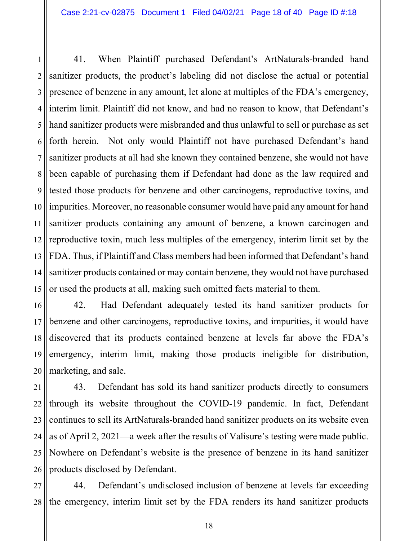1 2 3 4 5 6 7 8 9 10 11 12 13 14 15 41. When Plaintiff purchased Defendant's ArtNaturals-branded hand sanitizer products, the product's labeling did not disclose the actual or potential presence of benzene in any amount, let alone at multiples of the FDA's emergency, interim limit. Plaintiff did not know, and had no reason to know, that Defendant's hand sanitizer products were misbranded and thus unlawful to sell or purchase as set forth herein. Not only would Plaintiff not have purchased Defendant's hand sanitizer products at all had she known they contained benzene, she would not have been capable of purchasing them if Defendant had done as the law required and tested those products for benzene and other carcinogens, reproductive toxins, and impurities. Moreover, no reasonable consumer would have paid any amount for hand sanitizer products containing any amount of benzene, a known carcinogen and reproductive toxin, much less multiples of the emergency, interim limit set by the FDA. Thus, if Plaintiff and Class members had been informed that Defendant's hand sanitizer products contained or may contain benzene, they would not have purchased or used the products at all, making such omitted facts material to them.

16 17 18 19 20 42. Had Defendant adequately tested its hand sanitizer products for benzene and other carcinogens, reproductive toxins, and impurities, it would have discovered that its products contained benzene at levels far above the FDA's emergency, interim limit, making those products ineligible for distribution, marketing, and sale.

21 22 23 24 25 26 43. Defendant has sold its hand sanitizer products directly to consumers through its website throughout the COVID-19 pandemic. In fact, Defendant continues to sell its ArtNaturals-branded hand sanitizer products on its website even as of April 2, 2021—a week after the results of Valisure's testing were made public. Nowhere on Defendant's website is the presence of benzene in its hand sanitizer products disclosed by Defendant.

27 28 44. Defendant's undisclosed inclusion of benzene at levels far exceeding the emergency, interim limit set by the FDA renders its hand sanitizer products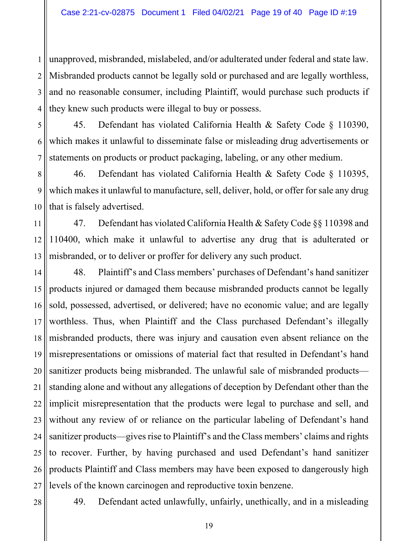1 2 3 4 unapproved, misbranded, mislabeled, and/or adulterated under federal and state law. Misbranded products cannot be legally sold or purchased and are legally worthless, and no reasonable consumer, including Plaintiff, would purchase such products if they knew such products were illegal to buy or possess.

5 6 7 45. Defendant has violated California Health & Safety Code § 110390, which makes it unlawful to disseminate false or misleading drug advertisements or statements on products or product packaging, labeling, or any other medium.

8 9 10 46. Defendant has violated California Health & Safety Code § 110395, which makes it unlawful to manufacture, sell, deliver, hold, or offer for sale any drug that is falsely advertised.

11 12 13 47. Defendant has violated California Health & Safety Code §§ 110398 and 110400, which make it unlawful to advertise any drug that is adulterated or misbranded, or to deliver or proffer for delivery any such product.

14 15 16 17 18 19 20 21 22 23 24 25 26 27 48. Plaintiff's and Class members' purchases of Defendant's hand sanitizer products injured or damaged them because misbranded products cannot be legally sold, possessed, advertised, or delivered; have no economic value; and are legally worthless. Thus, when Plaintiff and the Class purchased Defendant's illegally misbranded products, there was injury and causation even absent reliance on the misrepresentations or omissions of material fact that resulted in Defendant's hand sanitizer products being misbranded. The unlawful sale of misbranded products standing alone and without any allegations of deception by Defendant other than the implicit misrepresentation that the products were legal to purchase and sell, and without any review of or reliance on the particular labeling of Defendant's hand sanitizer products—gives rise to Plaintiff's and the Class members' claims and rights to recover. Further, by having purchased and used Defendant's hand sanitizer products Plaintiff and Class members may have been exposed to dangerously high levels of the known carcinogen and reproductive toxin benzene.

28

49. Defendant acted unlawfully, unfairly, unethically, and in a misleading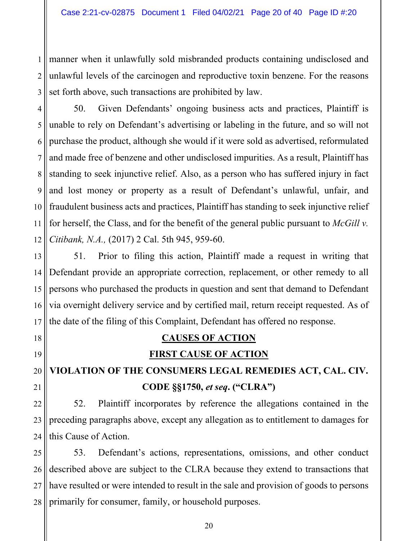1 2 3 manner when it unlawfully sold misbranded products containing undisclosed and unlawful levels of the carcinogen and reproductive toxin benzene. For the reasons set forth above, such transactions are prohibited by law.

4 5 6 7 8 9 10 11 12 50. Given Defendants' ongoing business acts and practices, Plaintiff is unable to rely on Defendant's advertising or labeling in the future, and so will not purchase the product, although she would if it were sold as advertised, reformulated and made free of benzene and other undisclosed impurities. As a result, Plaintiff has standing to seek injunctive relief. Also, as a person who has suffered injury in fact and lost money or property as a result of Defendant's unlawful, unfair, and fraudulent business acts and practices, Plaintiff has standing to seek injunctive relief for herself, the Class, and for the benefit of the general public pursuant to *McGill v. Citibank, N.A.,* (2017) 2 Cal. 5th 945, 959-60.

13 14 15 16 17 51. Prior to filing this action, Plaintiff made a request in writing that Defendant provide an appropriate correction, replacement, or other remedy to all persons who purchased the products in question and sent that demand to Defendant via overnight delivery service and by certified mail, return receipt requested. As of the date of the filing of this Complaint, Defendant has offered no response.

# 18 19 20 21 22 23

## **CAUSES OF ACTION**

#### **FIRST CAUSE OF ACTION**

# **VIOLATION OF THE CONSUMERS LEGAL REMEDIES ACT, CAL. CIV. CODE §§1750,** *et seq***. ("CLRA")**

24 52. Plaintiff incorporates by reference the allegations contained in the preceding paragraphs above, except any allegation as to entitlement to damages for this Cause of Action.

25 26 27 28 53. Defendant's actions, representations, omissions, and other conduct described above are subject to the CLRA because they extend to transactions that have resulted or were intended to result in the sale and provision of goods to persons primarily for consumer, family, or household purposes.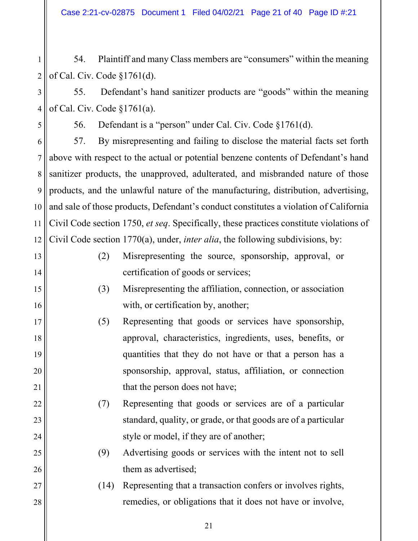1 2 54. Plaintiff and many Class members are "consumers" within the meaning of Cal. Civ. Code §1761(d).

3 4 55. Defendant's hand sanitizer products are "goods" within the meaning of Cal. Civ. Code §1761(a).

56. Defendant is a "person" under Cal. Civ. Code §1761(d).

5

13

14

15

16

17

18

19

20

21

22

23

24

25

26

27

28

6 7 8 9 10 11 12 57. By misrepresenting and failing to disclose the material facts set forth above with respect to the actual or potential benzene contents of Defendant's hand sanitizer products, the unapproved, adulterated, and misbranded nature of those products, and the unlawful nature of the manufacturing, distribution, advertising, and sale of those products, Defendant's conduct constitutes a violation of California Civil Code section 1750, *et seq*. Specifically, these practices constitute violations of Civil Code section 1770(a), under, *inter alia*, the following subdivisions, by:

- (2) Misrepresenting the source, sponsorship, approval, or certification of goods or services;
- (3) Misrepresenting the affiliation, connection, or association with, or certification by, another;
- (5) Representing that goods or services have sponsorship, approval, characteristics, ingredients, uses, benefits, or quantities that they do not have or that a person has a sponsorship, approval, status, affiliation, or connection that the person does not have;
- (7) Representing that goods or services are of a particular standard, quality, or grade, or that goods are of a particular style or model, if they are of another;
	- (9) Advertising goods or services with the intent not to sell them as advertised;
	- (14) Representing that a transaction confers or involves rights, remedies, or obligations that it does not have or involve,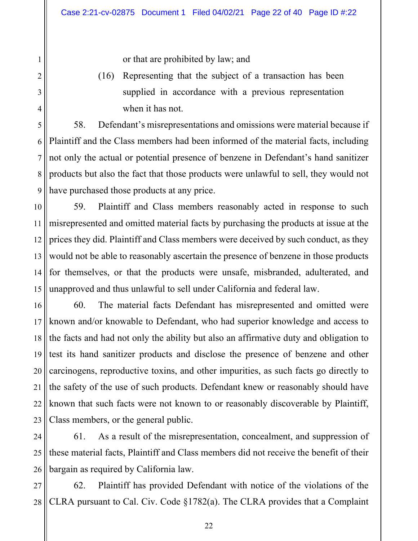or that are prohibited by law; and

1

2

3

4

6

8

9

(16) Representing that the subject of a transaction has been supplied in accordance with a previous representation when it has not.

5 7 58. Defendant's misrepresentations and omissions were material because if Plaintiff and the Class members had been informed of the material facts, including not only the actual or potential presence of benzene in Defendant's hand sanitizer products but also the fact that those products were unlawful to sell, they would not have purchased those products at any price.

10 11 12 13 14 15 59. Plaintiff and Class members reasonably acted in response to such misrepresented and omitted material facts by purchasing the products at issue at the prices they did. Plaintiff and Class members were deceived by such conduct, as they would not be able to reasonably ascertain the presence of benzene in those products for themselves, or that the products were unsafe, misbranded, adulterated, and unapproved and thus unlawful to sell under California and federal law.

16 17 18 19 20 21 22 23 60. The material facts Defendant has misrepresented and omitted were known and/or knowable to Defendant, who had superior knowledge and access to the facts and had not only the ability but also an affirmative duty and obligation to test its hand sanitizer products and disclose the presence of benzene and other carcinogens, reproductive toxins, and other impurities, as such facts go directly to the safety of the use of such products. Defendant knew or reasonably should have known that such facts were not known to or reasonably discoverable by Plaintiff, Class members, or the general public.

24 25 26 61. As a result of the misrepresentation, concealment, and suppression of these material facts, Plaintiff and Class members did not receive the benefit of their bargain as required by California law.

27 28 62. Plaintiff has provided Defendant with notice of the violations of the CLRA pursuant to Cal. Civ. Code §1782(a). The CLRA provides that a Complaint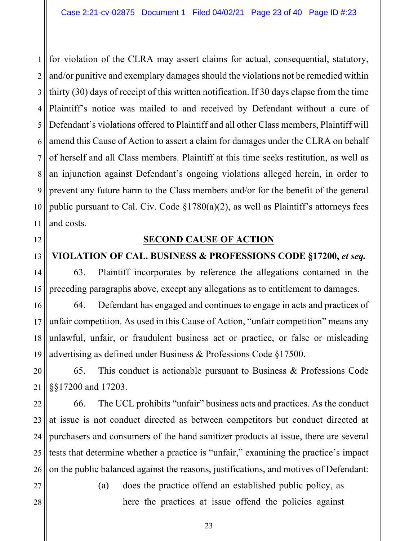1 2 3 4 5 6 7 8 9 10 11 for violation of the CLRA may assert claims for actual, consequential, statutory, and/or punitive and exemplary damages should the violations not be remedied within thirty (30) days of receipt of this written notification. If 30 days elapse from the time Plaintiff's notice was mailed to and received by Defendant without a cure of Defendant's violations offered to Plaintiff and all other Class members, Plaintiff will amend this Cause of Action to assert a claim for damages under the CLRA on behalf of herself and all Class members. Plaintiff at this time seeks restitution, as well as an injunction against Defendant's ongoing violations alleged herein, in order to prevent any future harm to the Class members and/or for the benefit of the general public pursuant to Cal. Civ. Code  $\S1780(a)(2)$ , as well as Plaintiff's attorneys fees and costs.

#### **SECOND CAUSE OF ACTION**

#### **VIOLATION OF CAL. BUSINESS & PROFESSIONS CODE §17200,** *et seq.*

63. Plaintiff incorporates by reference the allegations contained in the preceding paragraphs above, except any allegations as to entitlement to damages.

16 17 18 19 64. Defendant has engaged and continues to engage in acts and practices of unfair competition. As used in this Cause of Action, "unfair competition" means any unlawful, unfair, or fraudulent business act or practice, or false or misleading advertising as defined under Business & Professions Code §17500.

20 21 65. This conduct is actionable pursuant to Business & Professions Code §§17200 and 17203.

22 23 24 25 26 66. The UCL prohibits "unfair" business acts and practices. As the conduct at issue is not conduct directed as between competitors but conduct directed at purchasers and consumers of the hand sanitizer products at issue, there are several tests that determine whether a practice is "unfair," examining the practice's impact on the public balanced against the reasons, justifications, and motives of Defendant:

27 28

12

13

14

15

(a) does the practice offend an established public policy, as here the practices at issue offend the policies against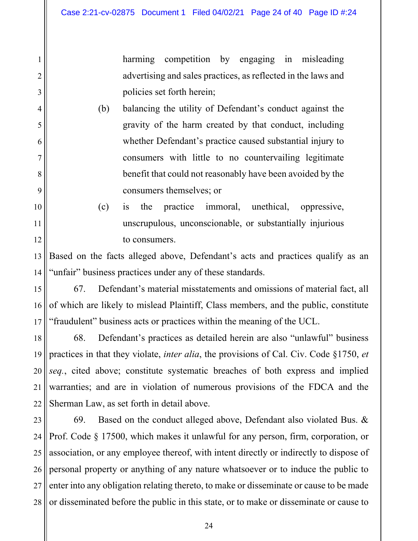1

2

3

4

5

6

7

8

9

10

11

12

harming competition by engaging in misleading advertising and sales practices, as reflected in the laws and policies set forth herein;

- (b) balancing the utility of Defendant's conduct against the gravity of the harm created by that conduct, including whether Defendant's practice caused substantial injury to consumers with little to no countervailing legitimate benefit that could not reasonably have been avoided by the consumers themselves; or
- (c) is the practice immoral, unethical, oppressive, unscrupulous, unconscionable, or substantially injurious to consumers.

13 14 Based on the facts alleged above, Defendant's acts and practices qualify as an "unfair" business practices under any of these standards.

15 16 17 67. Defendant's material misstatements and omissions of material fact, all of which are likely to mislead Plaintiff, Class members, and the public, constitute "fraudulent" business acts or practices within the meaning of the UCL.

18 19 20 21 22 68. Defendant's practices as detailed herein are also "unlawful" business practices in that they violate, *inter alia*, the provisions of Cal. Civ. Code §1750, *et seq.*, cited above; constitute systematic breaches of both express and implied warranties; and are in violation of numerous provisions of the FDCA and the Sherman Law, as set forth in detail above.

23 24 25 26 27 28 69. Based on the conduct alleged above, Defendant also violated Bus. & Prof. Code § 17500, which makes it unlawful for any person, firm, corporation, or association, or any employee thereof, with intent directly or indirectly to dispose of personal property or anything of any nature whatsoever or to induce the public to enter into any obligation relating thereto, to make or disseminate or cause to be made or disseminated before the public in this state, or to make or disseminate or cause to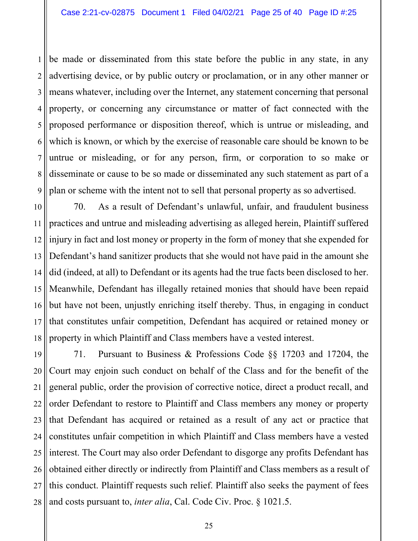1 2 3 4 5 6 7 8 9 be made or disseminated from this state before the public in any state, in any advertising device, or by public outcry or proclamation, or in any other manner or means whatever, including over the Internet, any statement concerning that personal property, or concerning any circumstance or matter of fact connected with the proposed performance or disposition thereof, which is untrue or misleading, and which is known, or which by the exercise of reasonable care should be known to be untrue or misleading, or for any person, firm, or corporation to so make or disseminate or cause to be so made or disseminated any such statement as part of a plan or scheme with the intent not to sell that personal property as so advertised.

10 11 12 13 14 15 16 17 18 70. As a result of Defendant's unlawful, unfair, and fraudulent business practices and untrue and misleading advertising as alleged herein, Plaintiff suffered injury in fact and lost money or property in the form of money that she expended for Defendant's hand sanitizer products that she would not have paid in the amount she did (indeed, at all) to Defendant or its agents had the true facts been disclosed to her. Meanwhile, Defendant has illegally retained monies that should have been repaid but have not been, unjustly enriching itself thereby. Thus, in engaging in conduct that constitutes unfair competition, Defendant has acquired or retained money or property in which Plaintiff and Class members have a vested interest.

19 20 21 22 23 24 25 26 27 28 71. Pursuant to Business & Professions Code §§ 17203 and 17204, the Court may enjoin such conduct on behalf of the Class and for the benefit of the general public, order the provision of corrective notice, direct a product recall, and order Defendant to restore to Plaintiff and Class members any money or property that Defendant has acquired or retained as a result of any act or practice that constitutes unfair competition in which Plaintiff and Class members have a vested interest. The Court may also order Defendant to disgorge any profits Defendant has obtained either directly or indirectly from Plaintiff and Class members as a result of this conduct. Plaintiff requests such relief. Plaintiff also seeks the payment of fees and costs pursuant to, *inter alia*, Cal. Code Civ. Proc. § 1021.5.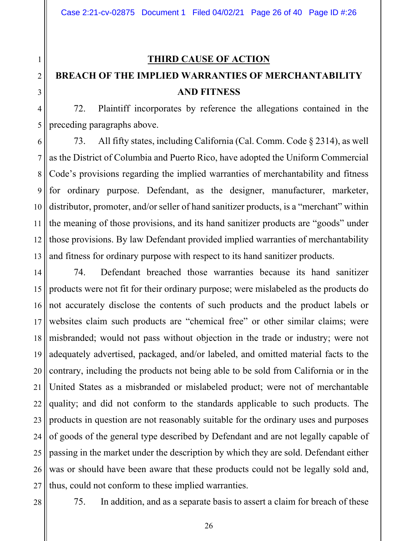#### **THIRD CAUSE OF ACTION**

# **BREACH OF THE IMPLIED WARRANTIES OF MERCHANTABILITY AND FITNESS**

72. Plaintiff incorporates by reference the allegations contained in the preceding paragraphs above.

7 73. All fifty states, including California (Cal. Comm. Code § 2314), as well as the District of Columbia and Puerto Rico, have adopted the Uniform Commercial Code's provisions regarding the implied warranties of merchantability and fitness for ordinary purpose. Defendant, as the designer, manufacturer, marketer, distributor, promoter, and/or seller of hand sanitizer products, is a "merchant" within the meaning of those provisions, and its hand sanitizer products are "goods" under those provisions. By law Defendant provided implied warranties of merchantability and fitness for ordinary purpose with respect to its hand sanitizer products.

74. Defendant breached those warranties because its hand sanitizer products were not fit for their ordinary purpose; were mislabeled as the products do not accurately disclose the contents of such products and the product labels or websites claim such products are "chemical free" or other similar claims; were misbranded; would not pass without objection in the trade or industry; were not adequately advertised, packaged, and/or labeled, and omitted material facts to the contrary, including the products not being able to be sold from California or in the United States as a misbranded or mislabeled product; were not of merchantable quality; and did not conform to the standards applicable to such products. The products in question are not reasonably suitable for the ordinary uses and purposes of goods of the general type described by Defendant and are not legally capable of passing in the market under the description by which they are sold. Defendant either was or should have been aware that these products could not be legally sold and, thus, could not conform to these implied warranties.

1

2

3

28

75. In addition, and as a separate basis to assert a claim for breach of these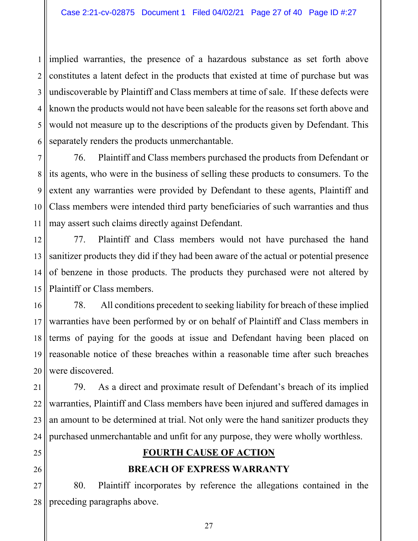1 2 3 4 5 6 implied warranties, the presence of a hazardous substance as set forth above constitutes a latent defect in the products that existed at time of purchase but was undiscoverable by Plaintiff and Class members at time of sale. If these defects were known the products would not have been saleable for the reasons set forth above and would not measure up to the descriptions of the products given by Defendant. This separately renders the products unmerchantable.

7 8 9 10 11 76. Plaintiff and Class members purchased the products from Defendant or its agents, who were in the business of selling these products to consumers. To the extent any warranties were provided by Defendant to these agents, Plaintiff and Class members were intended third party beneficiaries of such warranties and thus may assert such claims directly against Defendant.

12 13 14 15 77. Plaintiff and Class members would not have purchased the hand sanitizer products they did if they had been aware of the actual or potential presence of benzene in those products. The products they purchased were not altered by Plaintiff or Class members.

16 17 18 19 20 78. All conditions precedent to seeking liability for breach of these implied warranties have been performed by or on behalf of Plaintiff and Class members in terms of paying for the goods at issue and Defendant having been placed on reasonable notice of these breaches within a reasonable time after such breaches were discovered.

21 22 23 24 79. As a direct and proximate result of Defendant's breach of its implied warranties, Plaintiff and Class members have been injured and suffered damages in an amount to be determined at trial. Not only were the hand sanitizer products they purchased unmerchantable and unfit for any purpose, they were wholly worthless.

- 25
- 26

### **FOURTH CAUSE OF ACTION**

#### **BREACH OF EXPRESS WARRANTY**

27 28 80. Plaintiff incorporates by reference the allegations contained in the preceding paragraphs above.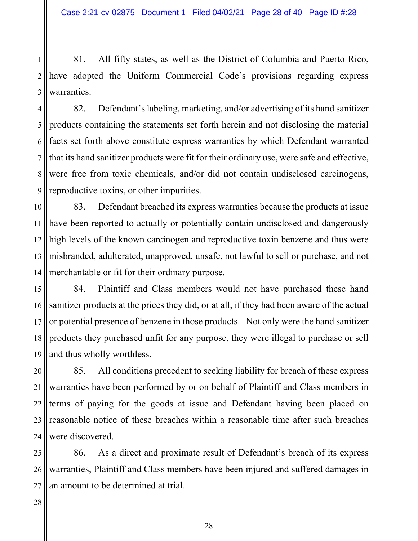1 2 3 81. All fifty states, as well as the District of Columbia and Puerto Rico, have adopted the Uniform Commercial Code's provisions regarding express warranties.

4 5 6 7 8 9 82. Defendant's labeling, marketing, and/or advertising of its hand sanitizer products containing the statements set forth herein and not disclosing the material facts set forth above constitute express warranties by which Defendant warranted that its hand sanitizer products were fit for their ordinary use, were safe and effective, were free from toxic chemicals, and/or did not contain undisclosed carcinogens, reproductive toxins, or other impurities.

10 11 12 13 14 83. Defendant breached its express warranties because the products at issue have been reported to actually or potentially contain undisclosed and dangerously high levels of the known carcinogen and reproductive toxin benzene and thus were misbranded, adulterated, unapproved, unsafe, not lawful to sell or purchase, and not merchantable or fit for their ordinary purpose.

15 16 17 18 19 84. Plaintiff and Class members would not have purchased these hand sanitizer products at the prices they did, or at all, if they had been aware of the actual or potential presence of benzene in those products. Not only were the hand sanitizer products they purchased unfit for any purpose, they were illegal to purchase or sell and thus wholly worthless.

20 21 22 23 24 85. All conditions precedent to seeking liability for breach of these express warranties have been performed by or on behalf of Plaintiff and Class members in terms of paying for the goods at issue and Defendant having been placed on reasonable notice of these breaches within a reasonable time after such breaches were discovered.

25 26 27 86. As a direct and proximate result of Defendant's breach of its express warranties, Plaintiff and Class members have been injured and suffered damages in an amount to be determined at trial.

28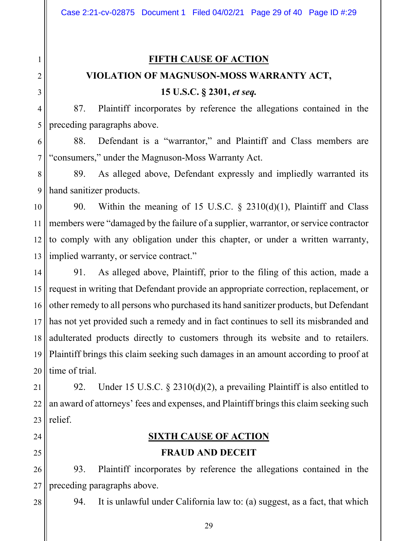# **FIFTH CAUSE OF ACTION VIOLATION OF MAGNUSON-MOSS WARRANTY ACT, 15 U.S.C. § 2301,** *et seq.*

87. Plaintiff incorporates by reference the allegations contained in the preceding paragraphs above.

88. Defendant is a "warrantor," and Plaintiff and Class members are "consumers," under the Magnuson-Moss Warranty Act.

89. As alleged above, Defendant expressly and impliedly warranted its hand sanitizer products.

90. Within the meaning of 15 U.S.C.  $\S$  2310(d)(1), Plaintiff and Class members were "damaged by the failure of a supplier, warrantor, or service contractor to comply with any obligation under this chapter, or under a written warranty, implied warranty, or service contract."

19 20 91. As alleged above, Plaintiff, prior to the filing of this action, made a request in writing that Defendant provide an appropriate correction, replacement, or other remedy to all persons who purchased its hand sanitizer products, but Defendant has not yet provided such a remedy and in fact continues to sell its misbranded and adulterated products directly to customers through its website and to retailers. Plaintiff brings this claim seeking such damages in an amount according to proof at time of trial.

21 22 23 92. Under 15 U.S.C. § 2310(d)(2), a prevailing Plaintiff is also entitled to an award of attorneys' fees and expenses, and Plaintiff brings this claim seeking such relief.

24 25

## **SIXTH CAUSE OF ACTION**

#### **FRAUD AND DECEIT**

26 27 93. Plaintiff incorporates by reference the allegations contained in the preceding paragraphs above.

28

94. It is unlawful under California law to: (a) suggest, as a fact, that which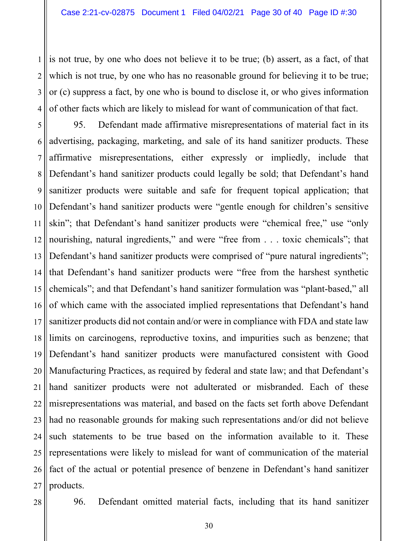1 2 3 4 is not true, by one who does not believe it to be true; (b) assert, as a fact, of that which is not true, by one who has no reasonable ground for believing it to be true; or (c) suppress a fact, by one who is bound to disclose it, or who gives information of other facts which are likely to mislead for want of communication of that fact.

5 6 7 8 9 10 11 12 13 14 15 16 17 18 19 20 21 22 23 24 25 26 27 95. Defendant made affirmative misrepresentations of material fact in its advertising, packaging, marketing, and sale of its hand sanitizer products. These affirmative misrepresentations, either expressly or impliedly, include that Defendant's hand sanitizer products could legally be sold; that Defendant's hand sanitizer products were suitable and safe for frequent topical application; that Defendant's hand sanitizer products were "gentle enough for children's sensitive skin"; that Defendant's hand sanitizer products were "chemical free," use "only nourishing, natural ingredients," and were "free from . . . toxic chemicals"; that Defendant's hand sanitizer products were comprised of "pure natural ingredients"; that Defendant's hand sanitizer products were "free from the harshest synthetic chemicals"; and that Defendant's hand sanitizer formulation was "plant-based," all of which came with the associated implied representations that Defendant's hand sanitizer products did not contain and/or were in compliance with FDA and state law limits on carcinogens, reproductive toxins, and impurities such as benzene; that Defendant's hand sanitizer products were manufactured consistent with Good Manufacturing Practices, as required by federal and state law; and that Defendant's hand sanitizer products were not adulterated or misbranded. Each of these misrepresentations was material, and based on the facts set forth above Defendant had no reasonable grounds for making such representations and/or did not believe such statements to be true based on the information available to it. These representations were likely to mislead for want of communication of the material fact of the actual or potential presence of benzene in Defendant's hand sanitizer products.

96. Defendant omitted material facts, including that its hand sanitizer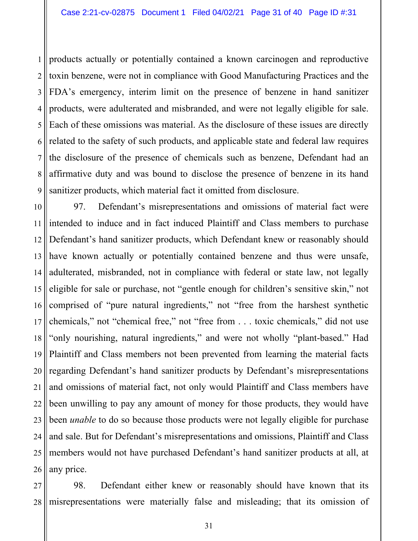1 2 3 4 5 6 7 8 9 products actually or potentially contained a known carcinogen and reproductive toxin benzene, were not in compliance with Good Manufacturing Practices and the FDA's emergency, interim limit on the presence of benzene in hand sanitizer products, were adulterated and misbranded, and were not legally eligible for sale. Each of these omissions was material. As the disclosure of these issues are directly related to the safety of such products, and applicable state and federal law requires the disclosure of the presence of chemicals such as benzene, Defendant had an affirmative duty and was bound to disclose the presence of benzene in its hand sanitizer products, which material fact it omitted from disclosure.

10 11 12 13 14 15 16 17 18 19 20 21 22 23 24 25 26 97. Defendant's misrepresentations and omissions of material fact were intended to induce and in fact induced Plaintiff and Class members to purchase Defendant's hand sanitizer products, which Defendant knew or reasonably should have known actually or potentially contained benzene and thus were unsafe, adulterated, misbranded, not in compliance with federal or state law, not legally eligible for sale or purchase, not "gentle enough for children's sensitive skin," not comprised of "pure natural ingredients," not "free from the harshest synthetic chemicals," not "chemical free," not "free from . . . toxic chemicals," did not use "only nourishing, natural ingredients," and were not wholly "plant-based." Had Plaintiff and Class members not been prevented from learning the material facts regarding Defendant's hand sanitizer products by Defendant's misrepresentations and omissions of material fact, not only would Plaintiff and Class members have been unwilling to pay any amount of money for those products, they would have been *unable* to do so because those products were not legally eligible for purchase and sale. But for Defendant's misrepresentations and omissions, Plaintiff and Class members would not have purchased Defendant's hand sanitizer products at all, at any price.

27 28 98. Defendant either knew or reasonably should have known that its misrepresentations were materially false and misleading; that its omission of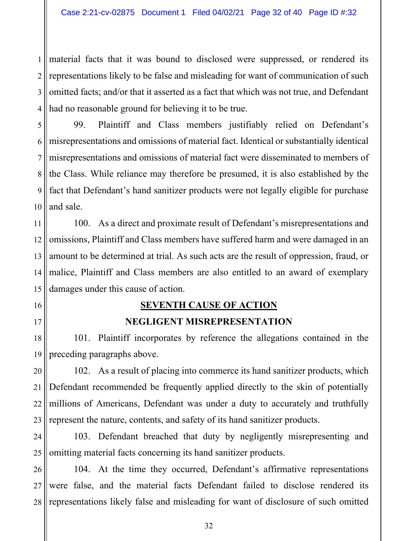1 2 3 4 material facts that it was bound to disclosed were suppressed, or rendered its representations likely to be false and misleading for want of communication of such omitted facts; and/or that it asserted as a fact that which was not true, and Defendant had no reasonable ground for believing it to be true.

5 6 7 8 9 10 99. Plaintiff and Class members justifiably relied on Defendant's misrepresentations and omissions of material fact. Identical or substantially identical misrepresentations and omissions of material fact were disseminated to members of the Class. While reliance may therefore be presumed, it is also established by the fact that Defendant's hand sanitizer products were not legally eligible for purchase and sale.

11 12 13 14 15 100. As a direct and proximate result of Defendant's misrepresentations and omissions, Plaintiff and Class members have suffered harm and were damaged in an amount to be determined at trial. As such acts are the result of oppression, fraud, or malice, Plaintiff and Class members are also entitled to an award of exemplary damages under this cause of action.

#### **SEVENTH CAUSE OF ACTION**

16

17

#### **NEGLIGENT MISREPRESENTATION**

18 19 101. Plaintiff incorporates by reference the allegations contained in the preceding paragraphs above.

20 21 22 23 102. As a result of placing into commerce its hand sanitizer products, which Defendant recommended be frequently applied directly to the skin of potentially millions of Americans, Defendant was under a duty to accurately and truthfully represent the nature, contents, and safety of its hand sanitizer products.

24 25 103. Defendant breached that duty by negligently misrepresenting and omitting material facts concerning its hand sanitizer products.

26 27 28 104. At the time they occurred, Defendant's affirmative representations were false, and the material facts Defendant failed to disclose rendered its representations likely false and misleading for want of disclosure of such omitted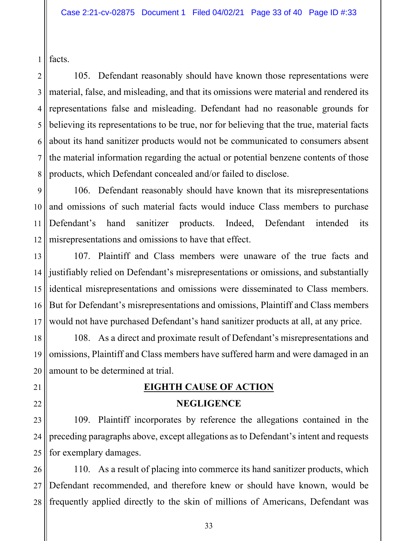1 facts.

21

22

2 3 4 5 6 7 8 105. Defendant reasonably should have known those representations were material, false, and misleading, and that its omissions were material and rendered its representations false and misleading. Defendant had no reasonable grounds for believing its representations to be true, nor for believing that the true, material facts about its hand sanitizer products would not be communicated to consumers absent the material information regarding the actual or potential benzene contents of those products, which Defendant concealed and/or failed to disclose.

9 10 11 12 106. Defendant reasonably should have known that its misrepresentations and omissions of such material facts would induce Class members to purchase Defendant's hand sanitizer products. Indeed, Defendant intended its misrepresentations and omissions to have that effect.

13 14 15 16 17 107. Plaintiff and Class members were unaware of the true facts and justifiably relied on Defendant's misrepresentations or omissions, and substantially identical misrepresentations and omissions were disseminated to Class members. But for Defendant's misrepresentations and omissions, Plaintiff and Class members would not have purchased Defendant's hand sanitizer products at all, at any price.

18 19 20 108. As a direct and proximate result of Defendant's misrepresentations and omissions, Plaintiff and Class members have suffered harm and were damaged in an amount to be determined at trial.

# **EIGHTH CAUSE OF ACTION**

### **NEGLIGENCE**

23 24 25 109. Plaintiff incorporates by reference the allegations contained in the preceding paragraphs above, except allegations as to Defendant's intent and requests for exemplary damages.

26 27 28 110. As a result of placing into commerce its hand sanitizer products, which Defendant recommended, and therefore knew or should have known, would be frequently applied directly to the skin of millions of Americans, Defendant was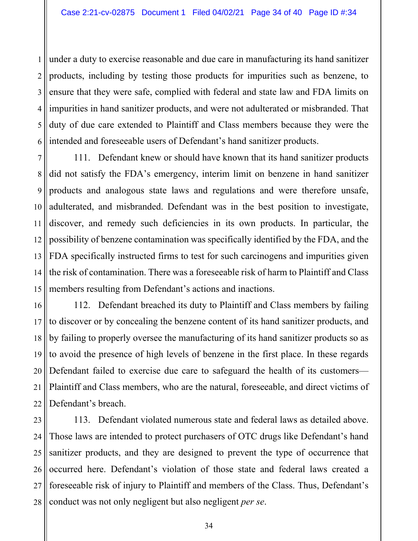1 2 3 4 5 6 under a duty to exercise reasonable and due care in manufacturing its hand sanitizer products, including by testing those products for impurities such as benzene, to ensure that they were safe, complied with federal and state law and FDA limits on impurities in hand sanitizer products, and were not adulterated or misbranded. That duty of due care extended to Plaintiff and Class members because they were the intended and foreseeable users of Defendant's hand sanitizer products.

7 8 9 10 11 12 13 14 15 111. Defendant knew or should have known that its hand sanitizer products did not satisfy the FDA's emergency, interim limit on benzene in hand sanitizer products and analogous state laws and regulations and were therefore unsafe, adulterated, and misbranded. Defendant was in the best position to investigate, discover, and remedy such deficiencies in its own products. In particular, the possibility of benzene contamination was specifically identified by the FDA, and the FDA specifically instructed firms to test for such carcinogens and impurities given the risk of contamination. There was a foreseeable risk of harm to Plaintiff and Class members resulting from Defendant's actions and inactions.

16 17 18 19 20 21 22 112. Defendant breached its duty to Plaintiff and Class members by failing to discover or by concealing the benzene content of its hand sanitizer products, and by failing to properly oversee the manufacturing of its hand sanitizer products so as to avoid the presence of high levels of benzene in the first place. In these regards Defendant failed to exercise due care to safeguard the health of its customers— Plaintiff and Class members, who are the natural, foreseeable, and direct victims of Defendant's breach.

23 24 25 26 27 28 113. Defendant violated numerous state and federal laws as detailed above. Those laws are intended to protect purchasers of OTC drugs like Defendant's hand sanitizer products, and they are designed to prevent the type of occurrence that occurred here. Defendant's violation of those state and federal laws created a foreseeable risk of injury to Plaintiff and members of the Class. Thus, Defendant's conduct was not only negligent but also negligent *per se*.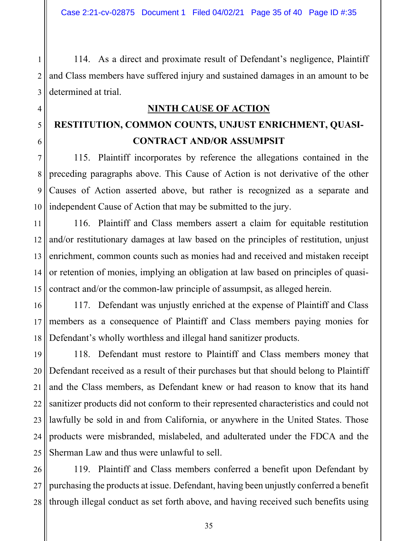114. As a direct and proximate result of Defendant's negligence, Plaintiff and Class members have suffered injury and sustained damages in an amount to be determined at trial.

## **NINTH CAUSE OF ACTION**

# **RESTITUTION, COMMON COUNTS, UNJUST ENRICHMENT, QUASI-CONTRACT AND/OR ASSUMPSIT**

115. Plaintiff incorporates by reference the allegations contained in the preceding paragraphs above. This Cause of Action is not derivative of the other Causes of Action asserted above, but rather is recognized as a separate and independent Cause of Action that may be submitted to the jury.

116. Plaintiff and Class members assert a claim for equitable restitution and/or restitutionary damages at law based on the principles of restitution, unjust enrichment, common counts such as monies had and received and mistaken receipt or retention of monies, implying an obligation at law based on principles of quasicontract and/or the common-law principle of assumpsit, as alleged herein.

117. Defendant was unjustly enriched at the expense of Plaintiff and Class members as a consequence of Plaintiff and Class members paying monies for Defendant's wholly worthless and illegal hand sanitizer products.

21 22 23 24 25 118. Defendant must restore to Plaintiff and Class members money that Defendant received as a result of their purchases but that should belong to Plaintiff and the Class members, as Defendant knew or had reason to know that its hand sanitizer products did not conform to their represented characteristics and could not lawfully be sold in and from California, or anywhere in the United States. Those products were misbranded, mislabeled, and adulterated under the FDCA and the Sherman Law and thus were unlawful to sell.

26 27 28 119. Plaintiff and Class members conferred a benefit upon Defendant by purchasing the products at issue. Defendant, having been unjustly conferred a benefit through illegal conduct as set forth above, and having received such benefits using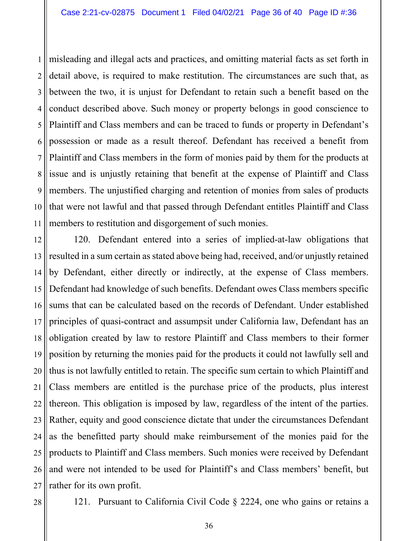1 2 3 4 5 6 7 8 9 10 11 misleading and illegal acts and practices, and omitting material facts as set forth in detail above, is required to make restitution. The circumstances are such that, as between the two, it is unjust for Defendant to retain such a benefit based on the conduct described above. Such money or property belongs in good conscience to Plaintiff and Class members and can be traced to funds or property in Defendant's possession or made as a result thereof. Defendant has received a benefit from Plaintiff and Class members in the form of monies paid by them for the products at issue and is unjustly retaining that benefit at the expense of Plaintiff and Class members. The unjustified charging and retention of monies from sales of products that were not lawful and that passed through Defendant entitles Plaintiff and Class members to restitution and disgorgement of such monies.

12 13 14 15 16 17 18 19 20 21 22 23 24 25 26 27 120. Defendant entered into a series of implied-at-law obligations that resulted in a sum certain as stated above being had, received, and/or unjustly retained by Defendant, either directly or indirectly, at the expense of Class members. Defendant had knowledge of such benefits. Defendant owes Class members specific sums that can be calculated based on the records of Defendant. Under established principles of quasi-contract and assumpsit under California law, Defendant has an obligation created by law to restore Plaintiff and Class members to their former position by returning the monies paid for the products it could not lawfully sell and thus is not lawfully entitled to retain. The specific sum certain to which Plaintiff and Class members are entitled is the purchase price of the products, plus interest thereon. This obligation is imposed by law, regardless of the intent of the parties. Rather, equity and good conscience dictate that under the circumstances Defendant as the benefitted party should make reimbursement of the monies paid for the products to Plaintiff and Class members. Such monies were received by Defendant and were not intended to be used for Plaintiff's and Class members' benefit, but rather for its own profit.

121. Pursuant to California Civil Code § 2224, one who gains or retains a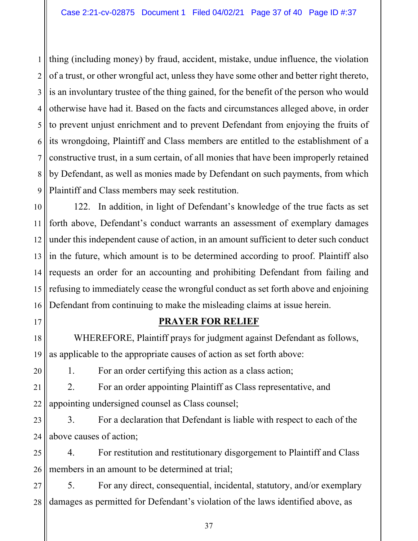1 2 3 4 5 6 7 8 9 thing (including money) by fraud, accident, mistake, undue influence, the violation of a trust, or other wrongful act, unless they have some other and better right thereto, is an involuntary trustee of the thing gained, for the benefit of the person who would otherwise have had it. Based on the facts and circumstances alleged above, in order to prevent unjust enrichment and to prevent Defendant from enjoying the fruits of its wrongdoing, Plaintiff and Class members are entitled to the establishment of a constructive trust, in a sum certain, of all monies that have been improperly retained by Defendant, as well as monies made by Defendant on such payments, from which Plaintiff and Class members may seek restitution.

10 11 12 13 14 15 16 122. In addition, in light of Defendant's knowledge of the true facts as set forth above, Defendant's conduct warrants an assessment of exemplary damages under this independent cause of action, in an amount sufficient to deter such conduct in the future, which amount is to be determined according to proof. Plaintiff also requests an order for an accounting and prohibiting Defendant from failing and refusing to immediately cease the wrongful conduct as set forth above and enjoining Defendant from continuing to make the misleading claims at issue herein.

17 18 19

20

#### **PRAYER FOR RELIEF**

 WHEREFORE, Plaintiff prays for judgment against Defendant as follows, as applicable to the appropriate causes of action as set forth above:

1. For an order certifying this action as a class action;

21 22 2. For an order appointing Plaintiff as Class representative, and appointing undersigned counsel as Class counsel;

23 24 3. For a declaration that Defendant is liable with respect to each of the above causes of action;

25 26 4. For restitution and restitutionary disgorgement to Plaintiff and Class members in an amount to be determined at trial;

27 28 5. For any direct, consequential, incidental, statutory, and/or exemplary damages as permitted for Defendant's violation of the laws identified above, as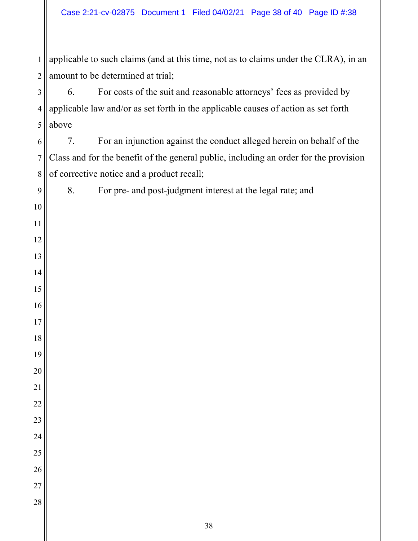applicable to such claims (and at this time, not as to claims under the CLRA), in an amount to be determined at trial;

 6. For costs of the suit and reasonable attorneys' fees as provided by applicable law and/or as set forth in the applicable causes of action as set forth above

 7. For an injunction against the conduct alleged herein on behalf of the Class and for the benefit of the general public, including an order for the provision of corrective notice and a product recall;

8. For pre- and post-judgment interest at the legal rate; and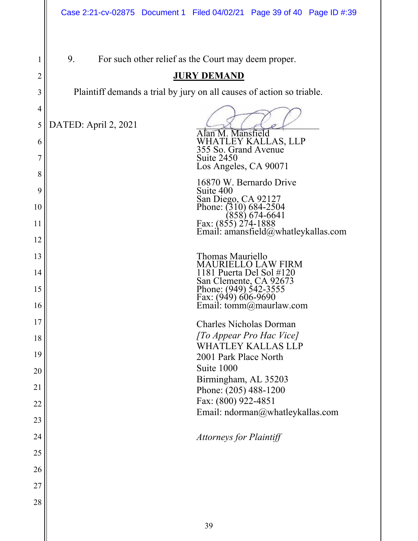|                | Case 2:21-cv-02875 Document 1 Filed 04/02/21 Page 39 of 40 Page ID #:39 |  |  |  |  |  |
|----------------|-------------------------------------------------------------------------|--|--|--|--|--|
|                |                                                                         |  |  |  |  |  |
| 1              | 9.<br>For such other relief as the Court may deem proper.               |  |  |  |  |  |
| $\overline{c}$ | <b>JURY DEMAND</b>                                                      |  |  |  |  |  |
| 3              | Plaintiff demands a trial by jury on all causes of action so triable.   |  |  |  |  |  |
| $\overline{4}$ |                                                                         |  |  |  |  |  |
| 5              | DATED: April 2, 2021<br>Alan M. Mansfield                               |  |  |  |  |  |
| 6              | WHATLEY KALLAS, LLP<br>355 So. Grand Avenue                             |  |  |  |  |  |
| 7              | Suite 2450<br>Los Angeles, CA 90071                                     |  |  |  |  |  |
| 8              | 16870 W. Bernardo Drive                                                 |  |  |  |  |  |
| 9              | Suite 400<br>San Diego, CA 92127                                        |  |  |  |  |  |
| 10             | Phone: $(310)$ 684-2504<br>(858) 674-6641                               |  |  |  |  |  |
| 11             | Fax: (855) 274-1888<br>Email: amansfield@whatleykallas.com              |  |  |  |  |  |
| 12             |                                                                         |  |  |  |  |  |
| 13             | Thomas Mauriello<br>MAURIELLO LAW FIRM                                  |  |  |  |  |  |
| 14             | 1181 Puerta Del Sol #120<br>San Clemente, CA 92673                      |  |  |  |  |  |
| 15             | Phone: (949) 542-3555<br>Fax: (949) 606-9690                            |  |  |  |  |  |
| 16             | Email: tomm@maurlaw.com                                                 |  |  |  |  |  |
| 17             | <b>Charles Nicholas Dorman</b>                                          |  |  |  |  |  |
| 18             | [To Appear Pro Hac Vice]<br><b>WHATLEY KALLAS LLP</b>                   |  |  |  |  |  |
| 19             | 2001 Park Place North                                                   |  |  |  |  |  |
| 20             | Suite 1000                                                              |  |  |  |  |  |
| 21             | Birmingham, AL 35203                                                    |  |  |  |  |  |
|                | Phone: (205) 488-1200<br>Fax: (800) 922-4851                            |  |  |  |  |  |
| 22             | Email: ndorman@whatleykallas.com                                        |  |  |  |  |  |
| 23             |                                                                         |  |  |  |  |  |
| 24             | <b>Attorneys for Plaintiff</b>                                          |  |  |  |  |  |
| 25             |                                                                         |  |  |  |  |  |
| 26             |                                                                         |  |  |  |  |  |
| 27             |                                                                         |  |  |  |  |  |
| 28             |                                                                         |  |  |  |  |  |